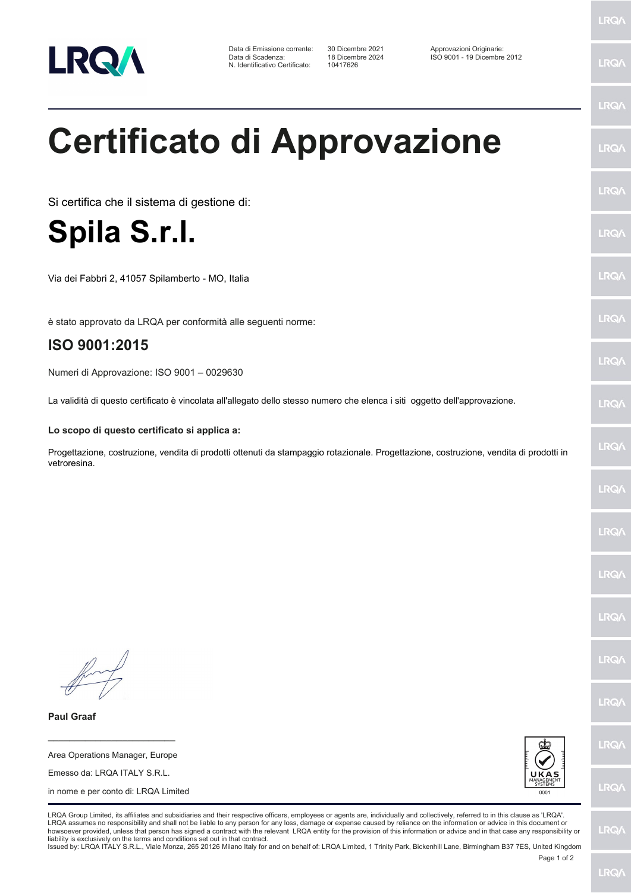

Data di Emissione corrente: 30 Dicembre 2021<br>Data di Scadenza: 18 Dicembre 2024 N. Identificativo Certificato:

30 Dicembre 2021 Approvazioni Originarie:<br>18 Dicembre 2024 ISO 9001 - 19 Dicembre 2012<br>10417626

LRQ/

LRQ/

LRQ/

LRQ/

LRQ/

LRQ/

**LRQ/** 

LRQ/

**LRQA** 

LRQ/

## **Certificato di Approvazione**

Si certifica che il sistema di gestione di:

**Spila S.r.l.**

Via dei Fabbri 2, 41057 Spilamberto - MO, Italia

è stato approvato da LRQA per conformità alle seguenti norme:

## **ISO 9001:2015**

Numeri di Approvazione: ISO 9001 – 0029630

La validità di questo certificato è vincolata all'allegato dello stesso numero che elenca i siti oggetto dell'approvazione.

**Lo scopo di questo certificato si applica a:**

Progettazione, costruzione, vendita di prodotti ottenuti da stampaggio rotazionale. Progettazione, costruzione, vendita di prodotti in vetroresina.

LRQ/

LRQ/

LRQ/

**LRQ/** 

LRQ/

**IRQA** 

LRQ/

LRQ/

LRQ/

LRQ/

**Paul Graaf**

Area Operations Manager, Europe Emesso da: LRQA ITALY S.R.L. in nome e per conto di: LRQA Limited

**\_\_\_\_\_\_\_\_\_\_\_\_\_\_\_\_\_\_\_\_\_\_\_\_**



LRQA Group Limited, its affiliates and subsidiaries and their respective officers, employees or agents are, individually and collectively, referred to in this clause as 'LRQA'. LRQA assumes no responsibility and shall not be liable to any person for any loss, damage or expense caused by reliance on the information or advice in this document or<br>howsoever provided, unless that person has signed a c liability is exclusively on the terms and conditions set out in that contract.

Issued by: LRQA ITALY S.R.L., Viale Monza, 265 20126 Milano Italy for and on behalf of: LRQA Limited, 1 Trinity Park, Bickenhill Lane, Birmingham B37 7ES, United Kingdom